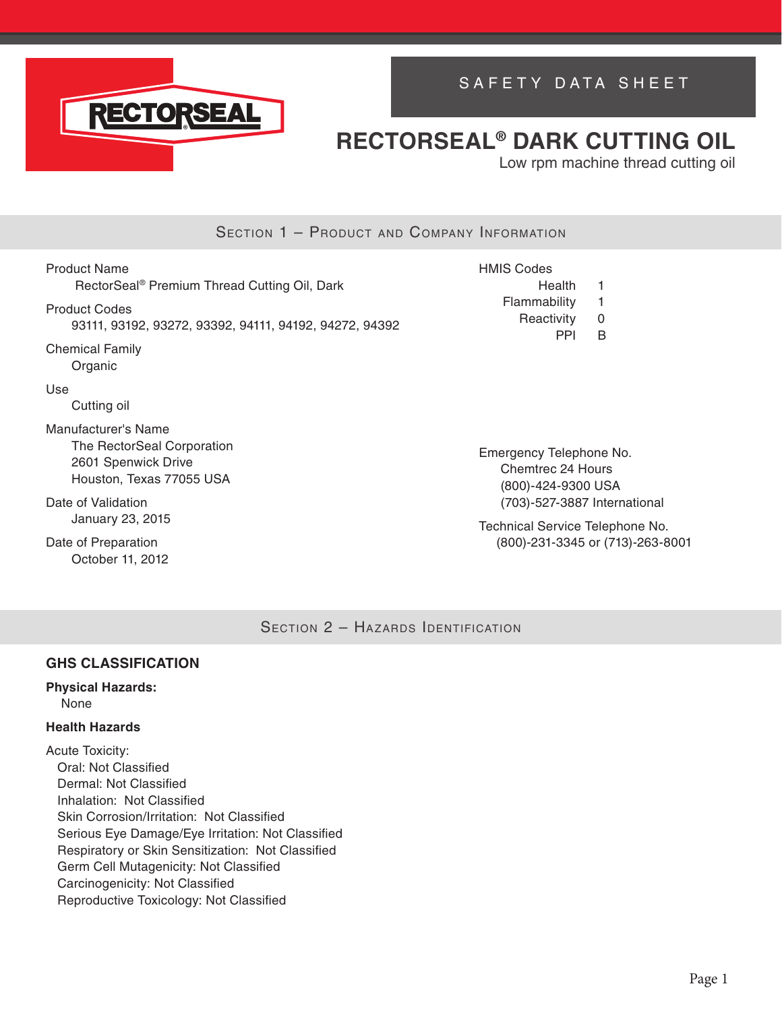

# SAFETY DATA SHEET

# **RECTORSEAL® DARK CUTTING OIL**

Low rpm machine thread cutting oil

## SECTION 1 - PRODUCT AND COMPANY INFORMATION

Product Name RectorSeal® Premium Thread Cutting Oil, Dark Product Codes 93111, 93192, 93272, 93392, 94111, 94192, 94272, 94392 Chemical Family Organic Use Cutting oil Manufacturer's Name The RectorSeal Corporation 2601 Spenwick Drive HMIS Codes Health 1 Flammability 1 Reactivity 0 PPI B

Emergency Telephone No. Chemtrec 24 Hours (800)-424-9300 USA (703)-527-3887 International

Technical Service Telephone No. (800)-231-3345 or (713)-263-8001

SECTION 2 - HAZARDS IDENTIFICATION

### **GHS CLASSIFICATION**

Houston, Texas 77055 USA

# **Physical Hazards:**

Date of Validation

Date of Preparation October 11, 2012

January 23, 2015

None

### **Health Hazards**

Acute Toxicity: Oral: Not Classified Dermal: Not Classified Inhalation: Not Classified Skin Corrosion/Irritation: Not Classified Serious Eye Damage/Eye Irritation: Not Classified Respiratory or Skin Sensitization: Not Classified Germ Cell Mutagenicity: Not Classified Carcinogenicity: Not Classified Reproductive Toxicology: Not Classified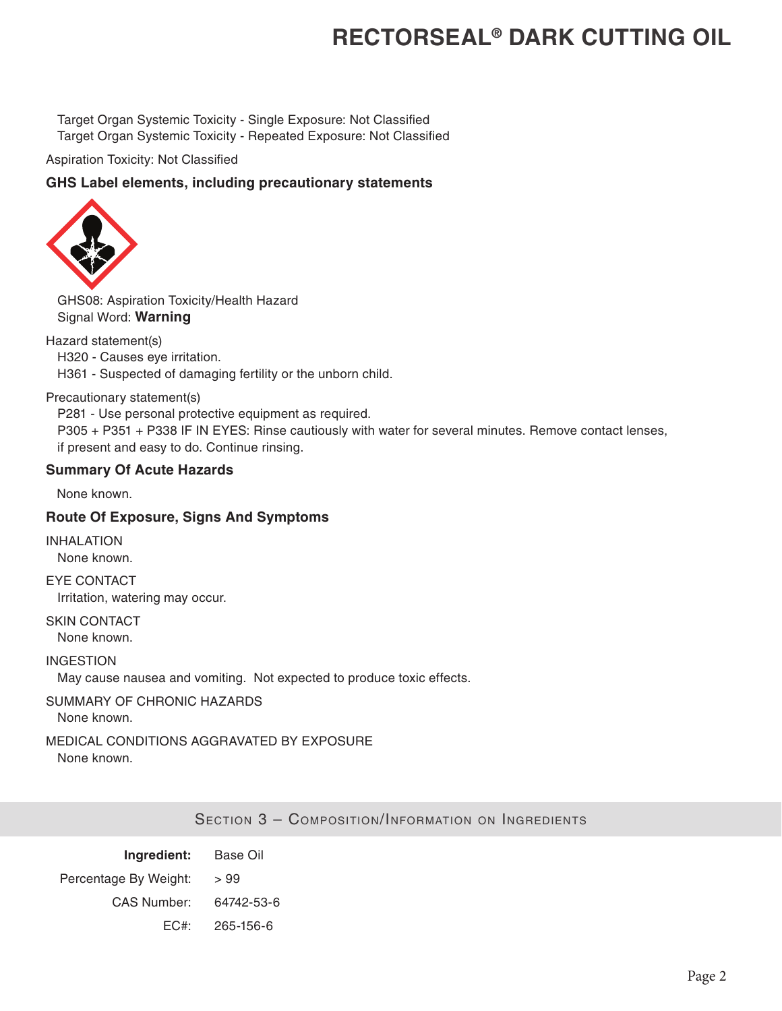Target Organ Systemic Toxicity - Single Exposure: Not Classified Target Organ Systemic Toxicity - Repeated Exposure: Not Classified

Aspiration Toxicity: Not Classified

### **GHS Label elements, including precautionary statements**



GHS08: Aspiration Toxicity/Health Hazard Signal Word: **Warning**

Hazard statement(s)

- H320 Causes eye irritation.
- H361 Suspected of damaging fertility or the unborn child.

Precautionary statement(s)

P281 - Use personal protective equipment as required. P305 + P351 + P338 IF IN EYES: Rinse cautiously with water for several minutes. Remove contact lenses, if present and easy to do. Continue rinsing.

### **Summary Of Acute Hazards**

None known.

### **Route Of Exposure, Signs And Symptoms**

INHALATION None known.

EYE CONTACT Irritation, watering may occur.

SKIN CONTACT None known.

INGESTION May cause nausea and vomiting. Not expected to produce toxic effects.

### SUMMARY OF CHRONIC HAZARDS

None known.

## MEDICAL CONDITIONS AGGRAVATED BY EXPOSURE

None known.

Section 3 – Composition/Information on Ingredients

| Ingredient:           | Base Oil   |
|-----------------------|------------|
| Percentage By Weight: | >99        |
| <b>CAS Number:</b>    | 64742-53-6 |
| EC#                   | 265-156-6  |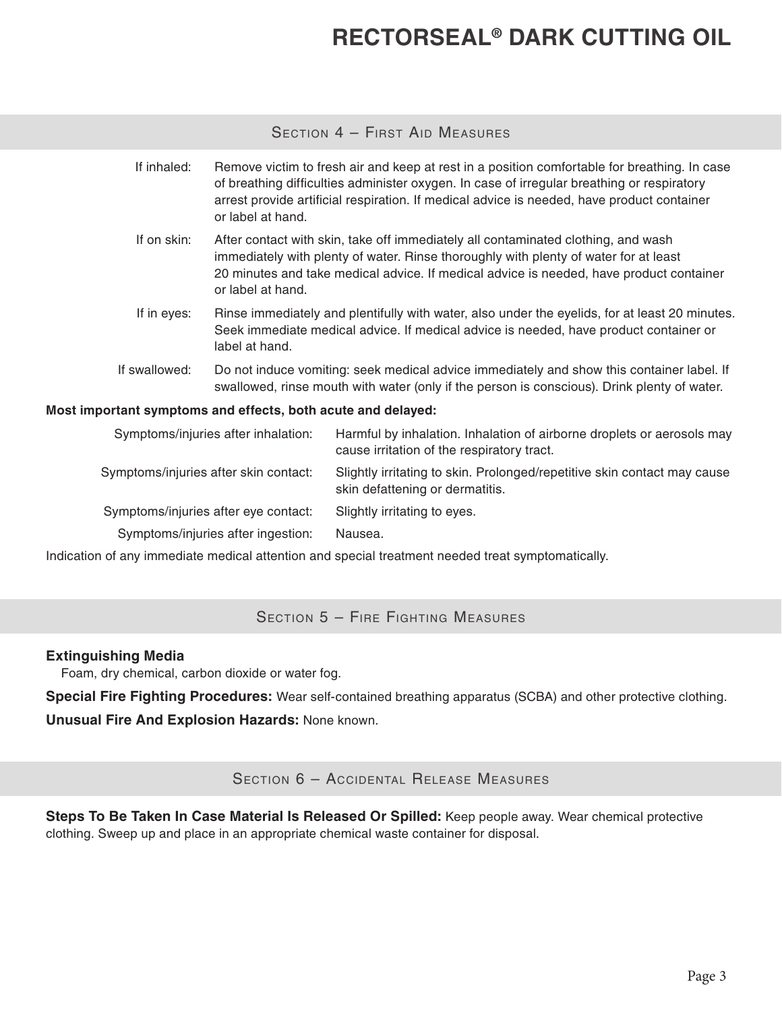## Section 4 – First Aid Measures

| If inhaled:                                                  | or label at hand.                                                                                                                                                                                                                                                                         | Remove victim to fresh air and keep at rest in a position comfortable for breathing. In case<br>of breathing difficulties administer oxygen. In case of irregular breathing or respiratory<br>arrest provide artificial respiration. If medical advice is needed, have product container |
|--------------------------------------------------------------|-------------------------------------------------------------------------------------------------------------------------------------------------------------------------------------------------------------------------------------------------------------------------------------------|------------------------------------------------------------------------------------------------------------------------------------------------------------------------------------------------------------------------------------------------------------------------------------------|
| If on skin:                                                  | After contact with skin, take off immediately all contaminated clothing, and wash<br>immediately with plenty of water. Rinse thoroughly with plenty of water for at least<br>20 minutes and take medical advice. If medical advice is needed, have product container<br>or label at hand. |                                                                                                                                                                                                                                                                                          |
| If in eyes:                                                  | Rinse immediately and plentifully with water, also under the eyelids, for at least 20 minutes.<br>Seek immediate medical advice. If medical advice is needed, have product container or<br>label at hand.                                                                                 |                                                                                                                                                                                                                                                                                          |
| If swallowed:                                                | Do not induce vomiting: seek medical advice immediately and show this container label. If<br>swallowed, rinse mouth with water (only if the person is conscious). Drink plenty of water.                                                                                                  |                                                                                                                                                                                                                                                                                          |
| Most important symptoms and effects, both acute and delayed: |                                                                                                                                                                                                                                                                                           |                                                                                                                                                                                                                                                                                          |
|                                                              | Symptoms/injuries after inhalation:                                                                                                                                                                                                                                                       | Harmful by inhalation. Inhalation of airborne droplets or aerosols may<br>cause irritation of the respiratory tract.                                                                                                                                                                     |
|                                                              | Symptoms/injuries after skin contact:                                                                                                                                                                                                                                                     | Slightly irritating to skin. Prolonged/repetitive skin contact may cause<br>skin defattening or dermatitis.                                                                                                                                                                              |

Symptoms/injuries after eye contact: Slightly irritating to eyes.

Symptoms/injuries after ingestion: Nausea.

Indication of any immediate medical attention and special treatment needed treat symptomatically.

## SECTION 5 - FIRE FIGHTING MEASURES

### **Extinguishing Media**

Foam, dry chemical, carbon dioxide or water fog.

**Special Fire Fighting Procedures:** Wear self-contained breathing apparatus (SCBA) and other protective clothing.

**Unusual Fire And Explosion Hazards:** None known.

Section 6 – Accidental Release Measures

**Steps To Be Taken In Case Material Is Released Or Spilled:** Keep people away. Wear chemical protective clothing. Sweep up and place in an appropriate chemical waste container for disposal.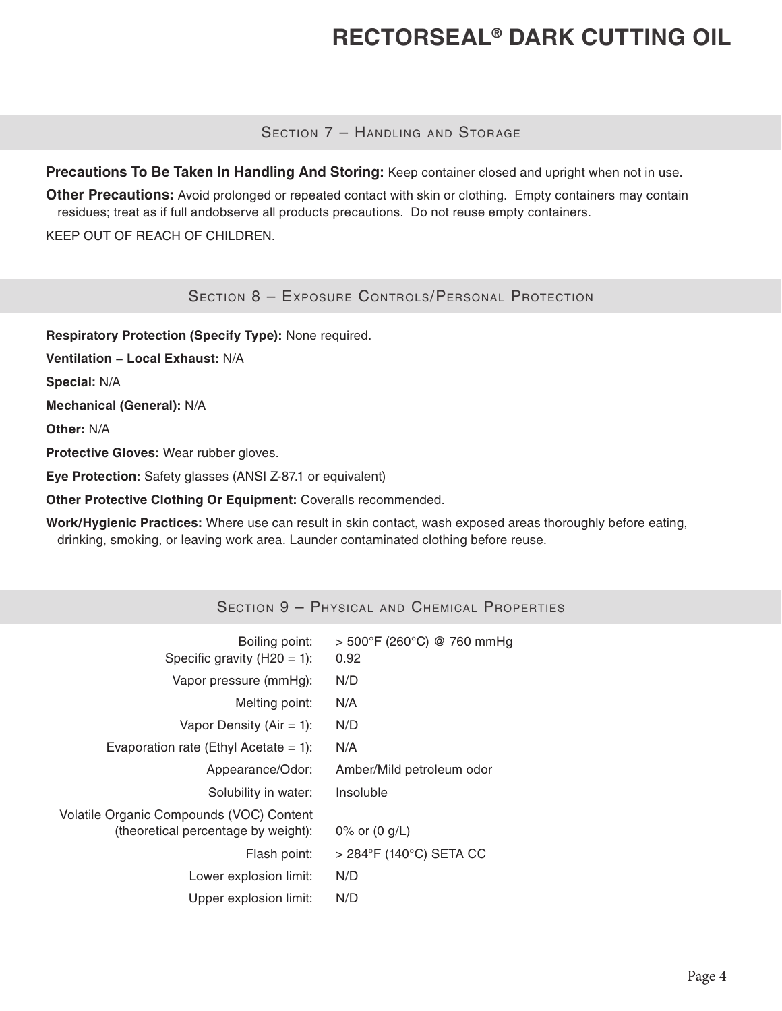SECTION 7 - HANDLING AND STORAGE

**Precautions To Be Taken In Handling And Storing:** Keep container closed and upright when not in use.

**Other Precautions:** Avoid prolonged or repeated contact with skin or clothing. Empty containers may contain residues; treat as if full andobserve all products precautions. Do not reuse empty containers.

KEEP OUT OF REACH OF CHILDREN.

SECTION 8 - EXPOSURE CONTROLS/PERSONAL PROTECTION

**Respiratory Protection (Specify Type):** None required.

**Ventilation − Local Exhaust:** N/A

**Special:** N/A

**Mechanical (General):** N/A

**Other:** N/A

**Protective Gloves:** Wear rubber gloves.

**Eye Protection:** Safety glasses (ANSI Z-87.1 or equivalent)

**Other Protective Clothing Or Equipment:** Coveralls recommended.

**Work/Hygienic Practices:** Where use can result in skin contact, wash exposed areas thoroughly before eating, drinking, smoking, or leaving work area. Launder contaminated clothing before reuse.

## Section 9 – Physical and Chemical Properties

| Boiling point:<br>Specific gravity $(H20 = 1)$ :                                | $>$ 500°F (260°C) @ 760 mmHg<br>0.92 |
|---------------------------------------------------------------------------------|--------------------------------------|
| Vapor pressure (mmHg):                                                          | N/D                                  |
| Melting point:                                                                  | N/A                                  |
| Vapor Density ( $Air = 1$ ):                                                    | N/D                                  |
| Evaporation rate (Ethyl Acetate = 1):                                           | N/A                                  |
| Appearance/Odor:                                                                | Amber/Mild petroleum odor            |
| Solubility in water:                                                            | Insoluble                            |
| Volatile Organic Compounds (VOC) Content<br>(theoretical percentage by weight): | 0% or $(0 g/L)$                      |
| Flash point:                                                                    | > 284°F (140°C) SETA CC              |
| Lower explosion limit:                                                          | N/D                                  |
| Upper explosion limit:                                                          | N/D                                  |
|                                                                                 |                                      |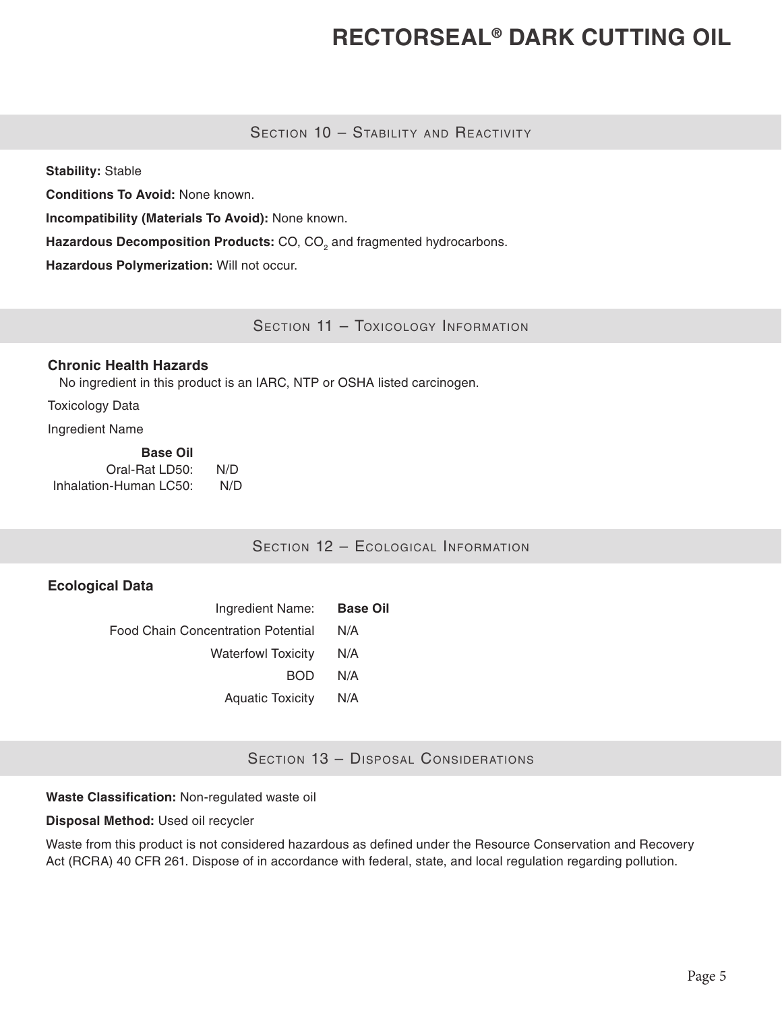### SECTION 10 - STABILITY AND REACTIVITY

**Stability:** Stable

**Conditions To Avoid:** None known.

**Incompatibility (Materials To Avoid):** None known.

**Hazardous Decomposition Products:** CO, CO<sub>2</sub> and fragmented hydrocarbons.

**Hazardous Polymerization:** Will not occur.

SECTION 11 - TOXICOLOGY INFORMATION

### **Chronic Health Hazards**

No ingredient in this product is an IARC, NTP or OSHA listed carcinogen.

Toxicology Data

Ingredient Name

| <b>Base Oil</b>        |     |
|------------------------|-----|
| Oral-Rat LD50:         | N/D |
| Inhalation-Human LC50: | N/D |

SECTION 12 - ECOLOGICAL INFORMATION

### **Ecological Data**

| Ingredient Name:                   | <b>Base Oil</b> |
|------------------------------------|-----------------|
| Food Chain Concentration Potential | N/A             |
| <b>Waterfowl Toxicity</b>          | N/A             |
| <b>BOD</b>                         | N/A             |
| <b>Aquatic Toxicity</b>            | N/A             |

SECTION 13 - DISPOSAL CONSIDERATIONS

**Waste Classification:** Non-regulated waste oil

**Disposal Method:** Used oil recycler

Waste from this product is not considered hazardous as defined under the Resource Conservation and Recovery Act (RCRA) 40 CFR 261. Dispose of in accordance with federal, state, and local regulation regarding pollution.